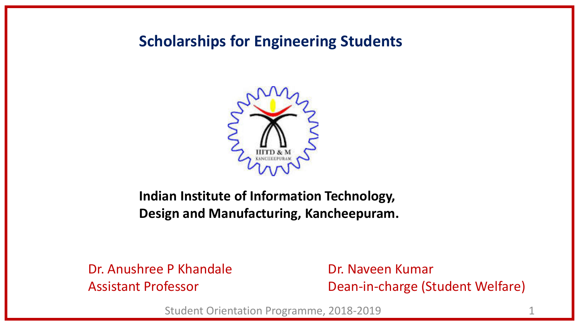**Scholarships for Engineering Students** 



### **Indian Institute of Information Technology, Design and Manufacturing, Kancheepuram.**

Dr. Anushree P Khandale Assistant Professor

Dr. Naveen Kumar Dean-in-charge (Student Welfare)

Student Orientation Programme, 2018-2019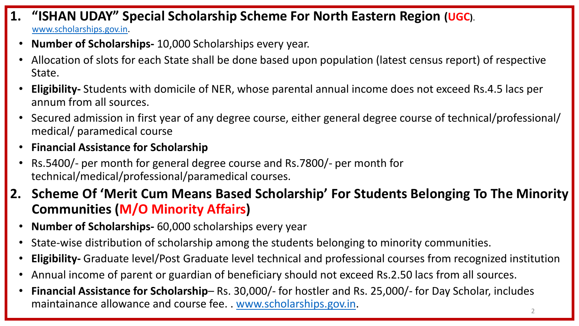- **1. "ISHAN UDAY" Special Scholarship Scheme For North Eastern Region (UGC)**. [www.scholarships.gov.in.](http://www.scholarships.gov.in/)
	- **Number of Scholarships-** 10,000 Scholarships every year.
	- Allocation of slots for each State shall be done based upon population (latest census report) of respective State.
	- **Eligibility-** Students with domicile of NER, whose parental annual income does not exceed Rs.4.5 lacs per annum from all sources.
	- Secured admission in first year of any degree course, either general degree course of technical/professional/ medical/ paramedical course
	- **Financial Assistance for Scholarship**
	- Rs.5400/- per month for general degree course and Rs.7800/- per month for technical/medical/professional/paramedical courses.
- **2. Scheme Of 'Merit Cum Means Based Scholarship' For Students Belonging To The Minority Communities (M/O Minority Affairs)**
	- **Number of Scholarships-** 60,000 scholarships every year
	- State-wise distribution of scholarship among the students belonging to minority communities.
	- **Eligibility-** Graduate level/Post Graduate level technical and professional courses from recognized institution
	- Annual income of parent or guardian of beneficiary should not exceed Rs.2.50 lacs from all sources.
	- **Financial Assistance for Scholarship** Rs. 30,000/- for hostler and Rs. 25,000/- for Day Scholar, includes maintainance allowance and course fee. . [www.scholarships.gov.in](http://www.scholarships.gov.in/).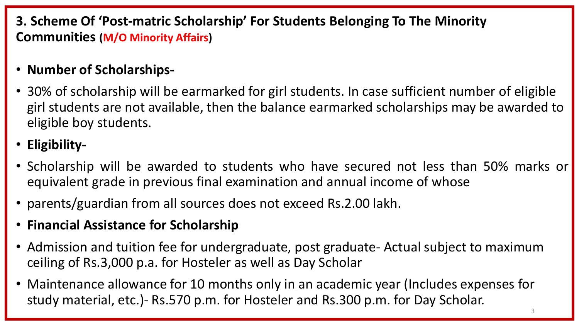### **3. Scheme Of 'Post-matric Scholarship' For Students Belonging To The Minority Communities (M/O Minority Affairs)**

### • **Number of Scholarships-**

- 30% of scholarship will be earmarked for girl students. In case sufficient number of eligible girl students are not available, then the balance earmarked scholarships may be awarded to eligible boy students.
- **Eligibility-**
- Scholarship will be awarded to students who have secured not less than 50% marks or equivalent grade in previous final examination and annual income of whose
- parents/guardian from all sources does not exceed Rs.2.00 lakh.
- **Financial Assistance for Scholarship**
- Admission and tuition fee for undergraduate, post graduate- Actual subject to maximum ceiling of Rs.3,000 p.a. for Hosteler as well as Day Scholar
- Maintenance allowance for 10 months only in an academic year (Includes expenses for study material, etc.)- Rs.570 p.m. for Hosteler and Rs.300 p.m. for Day Scholar.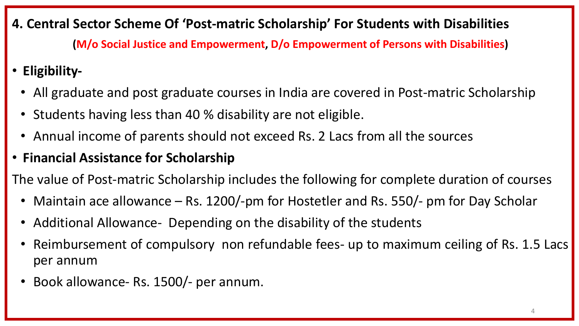- **4. Central Sector Scheme Of 'Post-matric Scholarship' For Students with Disabilities (M/o Social Justice and Empowerment, D/o Empowerment of Persons with Disabilities)**
- **Eligibility-**
	- All graduate and post graduate courses in India are covered in Post-matric Scholarship
- Students having less than 40 % disability are not eligible.
- Annual income of parents should not exceed Rs. 2 Lacs from all the sources
- **Financial Assistance for Scholarship**

The value of Post-matric Scholarship includes the following for complete duration of courses

- Maintain ace allowance Rs. 1200/-pm for Hostetler and Rs. 550/- pm for Day Scholar
- Additional Allowance- Depending on the disability of the students
- Reimbursement of compulsory non refundable fees- up to maximum ceiling of Rs. 1.5 Lacs per annum
- Book allowance- Rs. 1500/- per annum.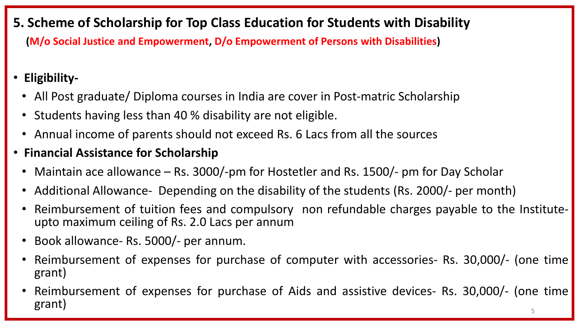### **5. Scheme of Scholarship for Top Class Education for Students with Disability (M/o Social Justice and Empowerment, D/o Empowerment of Persons with Disabilities)**

• **Eligibility-**

- All Post graduate/ Diploma courses in India are cover in Post-matric Scholarship
- Students having less than 40 % disability are not eligible.
- Annual income of parents should not exceed Rs. 6 Lacs from all the sources
- **Financial Assistance for Scholarship**
	- Maintain ace allowance Rs. 3000/-pm for Hostetler and Rs. 1500/- pm for Day Scholar
	- Additional Allowance- Depending on the disability of the students (Rs. 2000/- per month)
	- Reimbursement of tuition fees and compulsory non refundable charges payable to the Instituteupto maximum ceiling of Rs. 2.0 Lacs per annum
- Book allowance- Rs. 5000/- per annum.
- Reimbursement of expenses for purchase of computer with accessories- Rs. 30,000/- (one time grant)
- Reimbursement of expenses for purchase of Aids and assistive devices- Rs. 30,000/- (one time grant) 5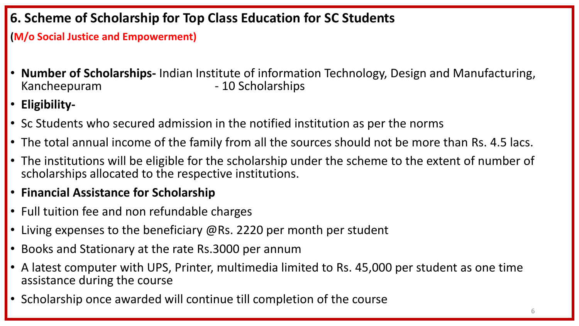## **6. Scheme of Scholarship for Top Class Education for SC Students**

**(M/o Social Justice and Empowerment)**

- **Number of Scholarships-** Indian Institute of information Technology, Design and Manufacturing, Kancheepuram - 10 Scholarships
- **Eligibility-**
- Sc Students who secured admission in the notified institution as per the norms
- The total annual income of the family from all the sources should not be more than Rs. 4.5 lacs.
- The institutions will be eligible for the scholarship under the scheme to the extent of number of scholarships allocated to the respective institutions.
- **Financial Assistance for Scholarship**
- Full tuition fee and non refundable charges
- Living expenses to the beneficiary  $\omega$ Rs. 2220 per month per student
- Books and Stationary at the rate Rs.3000 per annum
- A latest computer with UPS, Printer, multimedia limited to Rs. 45,000 per student as one time assistance during the course
- Scholarship once awarded will continue till completion of the course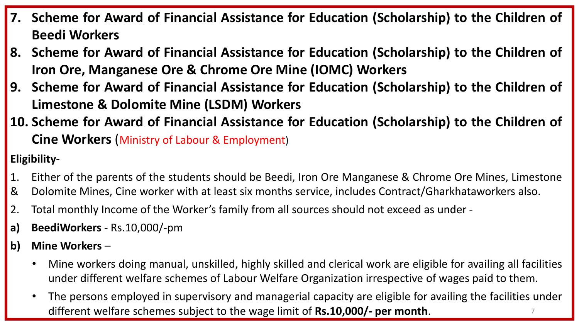- **7. Scheme for Award of Financial Assistance for Education (Scholarship) to the Children of Beedi Workers**
- **8. Scheme for Award of Financial Assistance for Education (Scholarship) to the Children of Iron Ore, Manganese Ore & Chrome Ore Mine (IOMC) Workers**
- **9. Scheme for Award of Financial Assistance for Education (Scholarship) to the Children of Limestone & Dolomite Mine (LSDM) Workers**
- **10. Scheme for Award of Financial Assistance for Education (Scholarship) to the Children of Cine Workers** (Ministry of Labour & Employment)

**Eligibility-**

- 1. Either of the parents of the students should be Beedi, Iron Ore Manganese & Chrome Ore Mines, Limestone
- & Dolomite Mines, Cine worker with at least six months service, includes Contract/Gharkhataworkers also.
- 2. Total monthly Income of the Worker's family from all sources should not exceed as under -
- **a) BeediWorkers** Rs.10,000/-pm
- **b) Mine Workers**
	- Mine workers doing manual, unskilled, highly skilled and clerical work are eligible for availing all facilities under different welfare schemes of Labour Welfare Organization irrespective of wages paid to them.
	- The persons employed in supervisory and managerial capacity are eligible for availing the facilities under different welfare schemes subject to the wage limit of **Rs.10,000/- per month**. <sup>7</sup>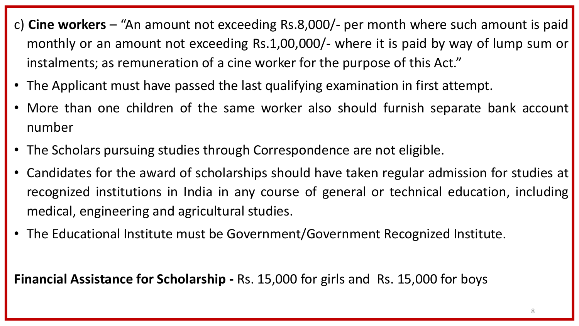- c) **Cine workers** "An amount not exceeding Rs.8,000/- per month where such amount is paid monthly or an amount not exceeding Rs.1,00,000/- where it is paid by way of lump sum or instalments; as remuneration of a cine worker for the purpose of this Act."
- The Applicant must have passed the last qualifying examination in first attempt.
- More than one children of the same worker also should furnish separate bank account number
- The Scholars pursuing studies through Correspondence are not eligible.
- Candidates for the award of scholarships should have taken regular admission for studies at recognized institutions in India in any course of general or technical education, including medical, engineering and agricultural studies.
- The Educational Institute must be Government/Government Recognized Institute.

**Financial Assistance for Scholarship -** Rs. 15,000 for girls and Rs. 15,000 for boys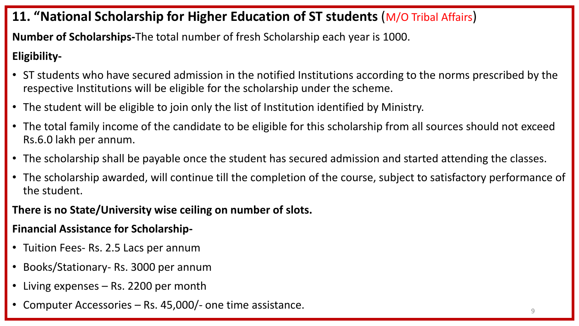# **11. "National Scholarship for Higher Education of ST students** (M/O Tribal Affairs) **Number of Scholarships-**The total number of fresh Scholarship each year is 1000. **Eligibility-**

- ST students who have secured admission in the notified Institutions according to the norms prescribed by the respective Institutions will be eligible for the scholarship under the scheme.
- The student will be eligible to join only the list of Institution identified by Ministry.
- The total family income of the candidate to be eligible for this scholarship from all sources should not exceed Rs.6.0 lakh per annum.
- The scholarship shall be payable once the student has secured admission and started attending the classes.
- The scholarship awarded, will continue till the completion of the course, subject to satisfactory performance of the student.

#### **There is no State/University wise ceiling on number of slots.**

#### **Financial Assistance for Scholarship-**

- Tuition Fees- Rs. 2.5 Lacs per annum
- Books/Stationary- Rs. 3000 per annum
- Living expenses Rs. 2200 per month
- Computer Accessories Rs.  $45,000/$  one time assistance.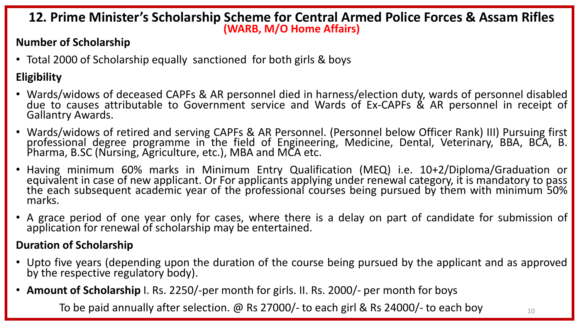#### **12. Prime Minister's Scholarship Scheme for Central Armed Police Forces & Assam Rifles (WARB, M/O Home Affairs)**

#### **Number of Scholarship**

• Total 2000 of Scholarship equally sanctioned for both girls & boys

### **Eligibility**

- Wards/widows of deceased CAPFs & AR personnel died in harness/election duty, wards of personnel disabled due to causes attributable to Government service and Wards of Ex-CAPFs & AR personnel in receipt of Gallantry Awards.
- Wards/widows of retired and serving CAPFs & AR Personnel. (Personnel below Officer Rank) III) Pursuing first professional degree programme in the field of Engineering, Medicine, Dental, Veterinary, BBA, BCA, B. Pharma, B.SC (Nursing, Agriculture, etc.), MBA and MCA etc.
- Having minimum 60% marks in Minimum Entry Qualification (MEQ) i.e. 10+2/Diploma/Graduation or equivalent in case of new applicant. Or For applicants applying under renewal category, it is mandatory to pass the each subsequent academic year of the professional courses being pursued by them with minimum 50% marks.
- A grace period of one year only for cases, where there is a delay on part of candidate for submission of application for renewal of scholarship may be entertained.

#### **Duration of Scholarship**

- Upto five years (depending upon the duration of the course being pursued by the applicant and as approved by the respective regulatory body).
- **Amount of Scholarship** I. Rs. 2250/-per month for girls. II. Rs. 2000/- per month for boys

To be paid annually after selection. @ Rs 27000/- to each girl & Rs 24000/- to each boy  $_{10}$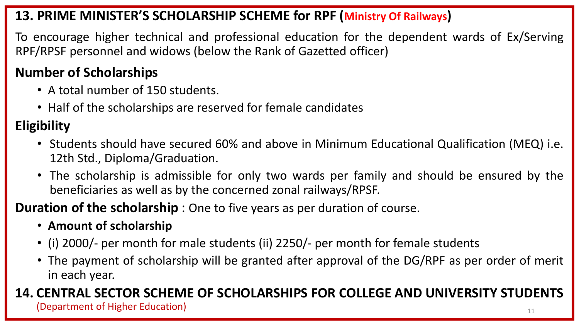### **13. PRIME MINISTER'S SCHOLARSHIP SCHEME for RPF (Ministry Of Railways)**

To encourage higher technical and professional education for the dependent wards of Ex/Serving RPF/RPSF personnel and widows (below the Rank of Gazetted officer)

## **Number of Scholarships**

- A total number of 150 students.
- Half of the scholarships are reserved for female candidates

## **Eligibility**

- Students should have secured 60% and above in Minimum Educational Qualification (MEQ) i.e. 12th Std., Diploma/Graduation.
- The scholarship is admissible for only two wards per family and should be ensured by the beneficiaries as well as by the concerned zonal railways/RPSF.

**Duration of the scholarship** : One to five years as per duration of course.

#### • **Amount of scholarship**

- (i) 2000/- per month for male students (ii) 2250/- per month for female students
- The payment of scholarship will be granted after approval of the DG/RPF as per order of merit in each year.

### **14. CENTRAL SECTOR SCHEME OF SCHOLARSHIPS FOR COLLEGE AND UNIVERSITY STUDENTS** (Department of Higher Education)  $11$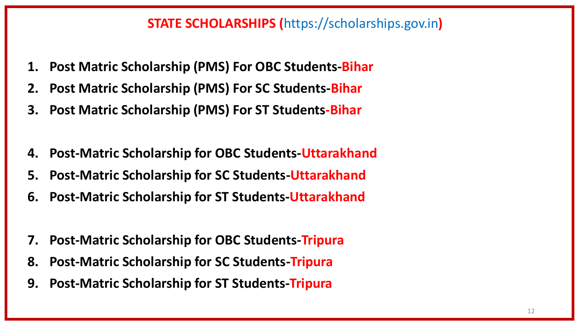### **STATE SCHOLARSHIPS (**https://scholarships.gov.in**)**

- **1. Post Matric Scholarship (PMS) For OBC Students-Bihar**
- **2. Post Matric Scholarship (PMS) For SC Students-Bihar**
- **3. Post Matric Scholarship (PMS) For ST Students-Bihar**
- **4. Post-Matric Scholarship for OBC Students-Uttarakhand**
- **5. Post-Matric Scholarship for SC Students-Uttarakhand**
- **6. Post-Matric Scholarship for ST Students-Uttarakhand**
- **7. Post-Matric Scholarship for OBC Students-Tripura**
- **8. Post-Matric Scholarship for SC Students-Tripura**
- **9. Post-Matric Scholarship for ST Students-Tripura**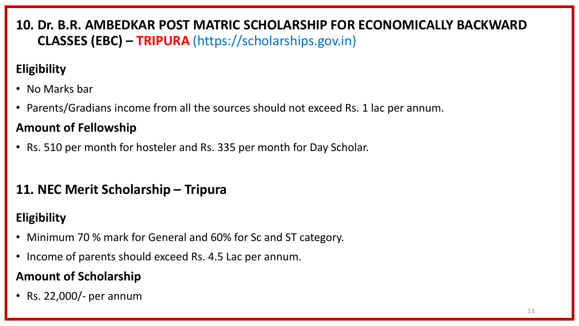### **10. Dr. B.R. AMBEDKAR POST MATRIC SCHOLARSHIP FOR ECONOMICALLY BACKWARD CLASSES (EBC) – TRIPURA** (https://scholarships.gov.in)

## **Eligibility**

- No Marks bar
- Parents/Gradians income from all the sources should not exceed Rs. 1 lac per annum.

## **Amount of Fellowship**

• Rs. 510 per month for hosteler and Rs. 335 per month for Day Scholar.

## **11. NEC Merit Scholarship – Tripura**

## **Eligibility**

- Minimum 70 % mark for General and 60% for Sc and ST category.
- Income of parents should exceed Rs. 4.5 Lac per annum.

### **Amount of Scholarship**

• Rs. 22,000/- per annum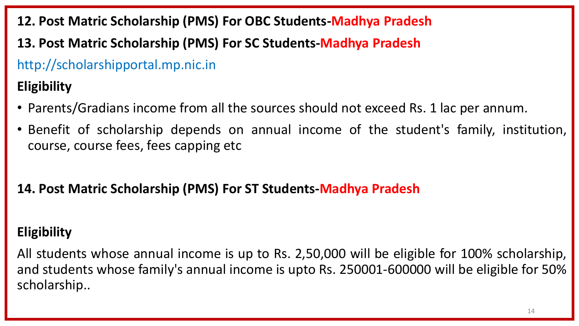- **12. Post Matric Scholarship (PMS) For OBC Students-Madhya Pradesh**
- **13. Post Matric Scholarship (PMS) For SC Students-Madhya Pradesh**

http://scholarshipportal.mp.nic.in

# **Eligibility**

- Parents/Gradians income from all the sources should not exceed Rs. 1 lac per annum.
- Benefit of scholarship depends on annual income of the student's family, institution, course, course fees, fees capping etc

## **14. Post Matric Scholarship (PMS) For ST Students-Madhya Pradesh**

## **Eligibility**

All students whose annual income is up to Rs. 2,50,000 will be eligible for 100% scholarship, and students whose family's annual income is upto Rs. 250001-600000 will be eligible for 50% scholarship..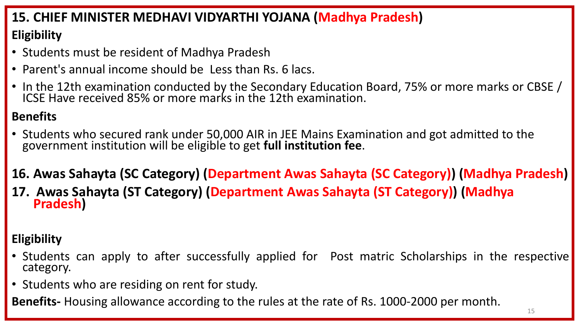# **15. CHIEF MINISTER MEDHAVI VIDYARTHI YOJANA (Madhya Pradesh) Eligibility**

- Students must be resident of Madhya Pradesh
- Parent's annual income should be Less than Rs. 6 lacs.
- In the 12th examination conducted by the Secondary Education Board, 75% or more marks or CBSE / ICSE Have received 85% or more marks in the 12th examination.

## **Benefits**

- Students who secured rank under 50,000 AIR in JEE Mains Examination and got admitted to the government institution will be eligible to get **full institution fee**.
- **16. Awas Sahayta (SC Category) (Department Awas Sahayta (SC Category)) (Madhya Pradesh)**
- **17. Awas Sahayta (ST Category) (Department Awas Sahayta (ST Category)) (Madhya Pradesh)**

## **Eligibility**

- Students can apply to after successfully applied for Post matric Scholarships in the respective category.
- Students who are residing on rent for study.

**Benefits-** Housing allowance according to the rules at the rate of Rs. 1000-2000 per month.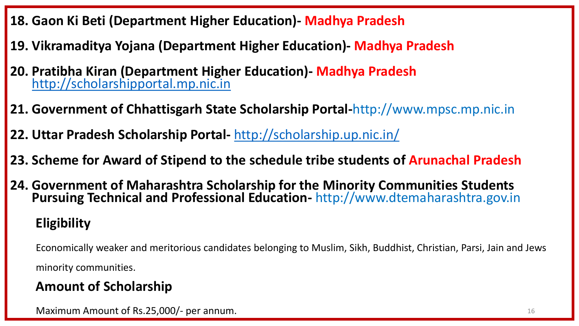- **18. Gaon Ki Beti (Department Higher Education)- Madhya Pradesh**
- **19. Vikramaditya Yojana (Department Higher Education)- Madhya Pradesh**
- **20. Pratibha Kiran (Department Higher Education)- Madhya Pradesh**  [http://scholarshipportal.mp.nic.in](http://scholarshipportal.mp.nic.in/)
- **21. Government of Chhattisgarh State Scholarship Portal-**http://www.mpsc.mp.nic.in
- **22. Uttar Pradesh Scholarship Portal-** <http://scholarship.up.nic.in/>
- **23. Scheme for Award of Stipend to the schedule tribe students of Arunachal Pradesh**
- **24. Government of Maharashtra Scholarship for the Minority Communities Students Pursuing Technical and Professional Education-** http://www.dtemaharashtra.gov.in **Eligibility**

Economically weaker and meritorious candidates belonging to Muslim, Sikh, Buddhist, Christian, Parsi, Jain and Jews minority communities.

### **Amount of Scholarship**

Maximum Amount of Rs.25,000/- per annum. 16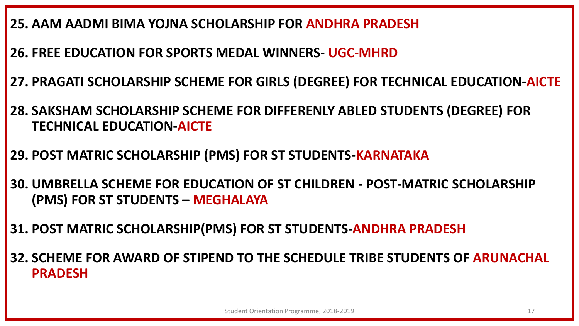**25. AAM AADMI BIMA YOJNA SCHOLARSHIP FOR ANDHRA PRADESH**

**26. FREE EDUCATION FOR SPORTS MEDAL WINNERS- UGC-MHRD**

**27. PRAGATI SCHOLARSHIP SCHEME FOR GIRLS (DEGREE) FOR TECHNICAL EDUCATION-AICTE**

**28. SAKSHAM SCHOLARSHIP SCHEME FOR DIFFERENLY ABLED STUDENTS (DEGREE) FOR TECHNICAL EDUCATION-AICTE**

**29. POST MATRIC SCHOLARSHIP (PMS) FOR ST STUDENTS-KARNATAKA**

**30. UMBRELLA SCHEME FOR EDUCATION OF ST CHILDREN - POST-MATRIC SCHOLARSHIP (PMS) FOR ST STUDENTS – MEGHALAYA**

**31. POST MATRIC SCHOLARSHIP(PMS) FOR ST STUDENTS-ANDHRA PRADESH**

**32. SCHEME FOR AWARD OF STIPEND TO THE SCHEDULE TRIBE STUDENTS OF ARUNACHAL PRADESH**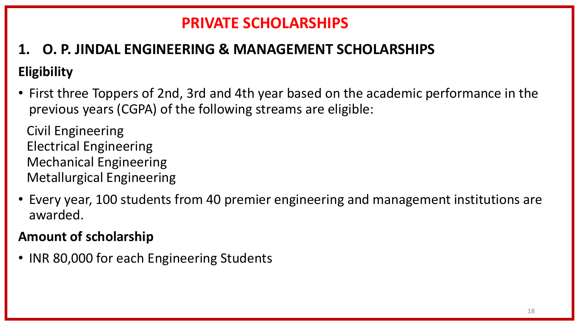## **PRIVATE SCHOLARSHIPS**

# **1. O. P. JINDAL ENGINEERING & MANAGEMENT SCHOLARSHIPS Eligibility**

• First three Toppers of 2nd, 3rd and 4th year based on the academic performance in the previous years (CGPA) of the following streams are eligible:

Civil Engineering Electrical Engineering Mechanical Engineering Metallurgical Engineering

• Every year, 100 students from 40 premier engineering and management institutions are awarded.

## **Amount of scholarship**

• INR 80,000 for each Engineering Students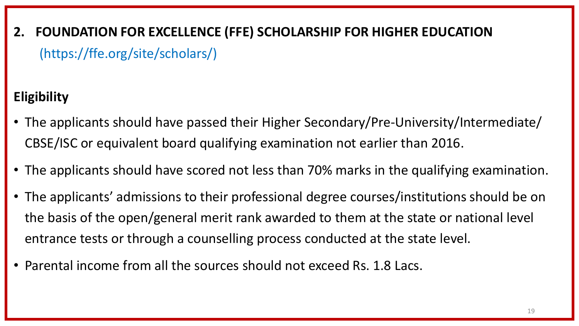## **2. FOUNDATION FOR EXCELLENCE (FFE) SCHOLARSHIP FOR HIGHER EDUCATION**

(https://ffe.org/site/scholars/)

## **Eligibility**

- The applicants should have passed their Higher Secondary/Pre-University/Intermediate/ CBSE/ISC or equivalent board qualifying examination not earlier than 2016.
- The applicants should have scored not less than 70% marks in the qualifying examination.
- The applicants' admissions to their professional degree courses/institutions should be on the basis of the open/general merit rank awarded to them at the state or national level entrance tests or through a counselling process conducted at the state level.
- Parental income from all the sources should not exceed Rs. 1.8 Lacs.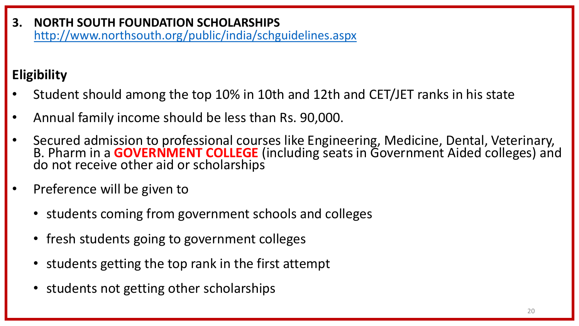**3. NORTH SOUTH FOUNDATION SCHOLARSHIPS**  <http://www.northsouth.org/public/india/schguidelines.aspx>

## **Eligibility**

- Student should among the top 10% in 10th and 12th and CET/JET ranks in his state
- Annual family income should be less than Rs. 90,000.
- Secured admission to professional courses like Engineering, Medicine, Dental, Veterinary, B. Pharm in a **GOVERNMENT COLLEGE** (including seats in Government Aided colleges) and do not receive other aid or scholarships
- Preference will be given to
	- students coming from government schools and colleges
	- fresh students going to government colleges
	- students getting the top rank in the first attempt
	- students not getting other scholarships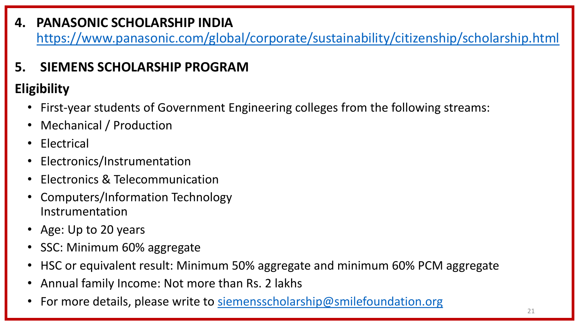## **4. PANASONIC SCHOLARSHIP INDIA**

<https://www.panasonic.com/global/corporate/sustainability/citizenship/scholarship.html>

## **5. SIEMENS SCHOLARSHIP PROGRAM**

# **Eligibility**

- First-year students of Government Engineering colleges from the following streams:
- Mechanical / Production
- Electrical
- Electronics/Instrumentation
- Electronics & Telecommunication
- Computers/Information Technology Instrumentation
- Age: Up to 20 years
- SSC: Minimum 60% aggregate
- HSC or equivalent result: Minimum 50% aggregate and minimum 60% PCM aggregate
- Annual family Income: Not more than Rs. 2 lakhs
- For more details, please write to [siemensscholarship@smilefoundation.org](mailto:siemensscholarship@smilefoundation.org)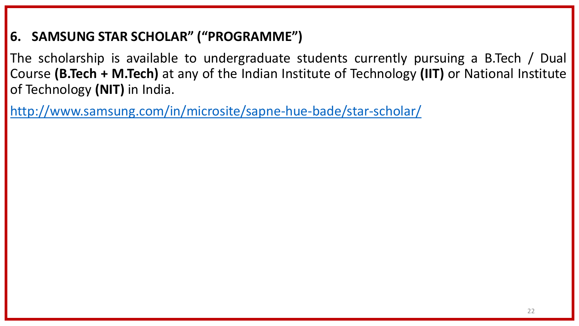## **6. SAMSUNG STAR SCHOLAR" ("PROGRAMME")**

The scholarship is available to undergraduate students currently pursuing a B.Tech / Dual Course **(B.Tech + M.Tech)** at any of the Indian Institute of Technology **(IIT)** or National Institute of Technology **(NIT)** in India.

<http://www.samsung.com/in/microsite/sapne-hue-bade/star-scholar/>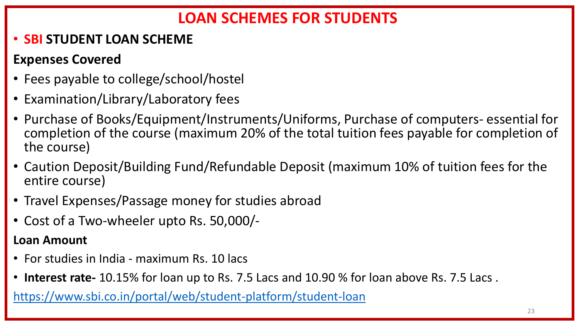## **LOAN SCHEMES FOR STUDENTS**

## • **SBI STUDENT LOAN SCHEME**

### **Expenses Covered**

- Fees payable to college/school/hostel
- Examination/Library/Laboratory fees
- Purchase of Books/Equipment/Instruments/Uniforms, Purchase of computers- essential for completion of the course (maximum 20% of the total tuition fees payable for completion of the course)
- Caution Deposit/Building Fund/Refundable Deposit (maximum 10% of tuition fees for the entire course)
- Travel Expenses/Passage money for studies abroad
- Cost of a Two-wheeler upto Rs. 50,000/-

#### **Loan Amount**

- For studies in India maximum Rs. 10 lacs
- **Interest rate-** 10.15% for loan up to Rs. 7.5 Lacs and 10.90 % for loan above Rs. 7.5 Lacs .

<https://www.sbi.co.in/portal/web/student-platform/student-loan>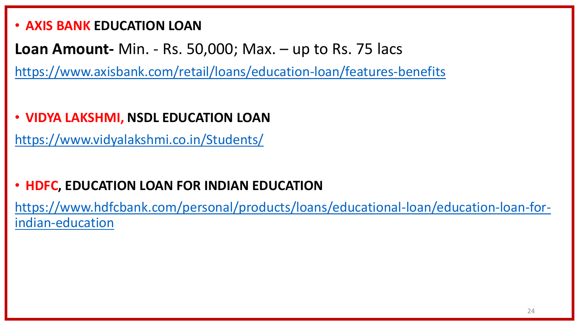#### • **AXIS BANK EDUCATION LOAN**

## **Loan Amount-** Min. - Rs. 50,000; Max. – up to Rs. 75 lacs

<https://www.axisbank.com/retail/loans/education-loan/features-benefits>

### • **VIDYA LAKSHMI, NSDL EDUCATION LOAN**

<https://www.vidyalakshmi.co.in/Students/>

## • **HDFC, EDUCATION LOAN FOR INDIAN EDUCATION**

[https://www.hdfcbank.com/personal/products/loans/educational-loan/education-loan-for](https://www.hdfcbank.com/personal/products/loans/educational-loan/education-loan-for-indian-education)indian-education